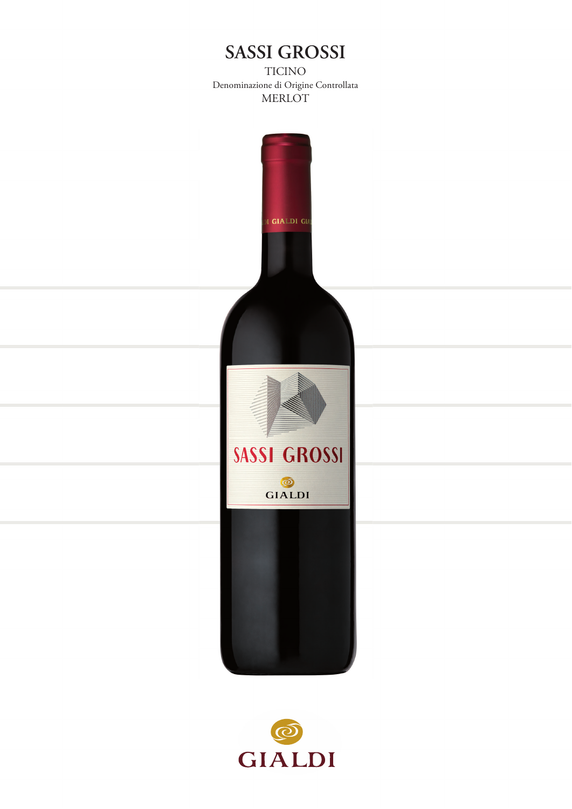# **SASSI GROSSI**

TICINO Denominazione di Origine Controllata MERLOT